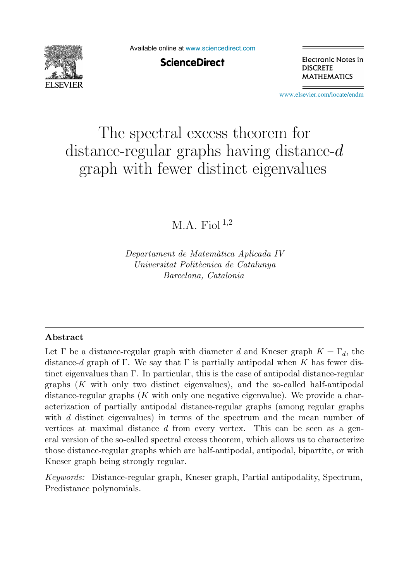

Available online at [www.sciencedirect.com](http://www.sciencedirect.com)

**ScienceDirect** 

Electronic Notes in **DISCRETE MATHEMATICS** 

[www.elsevier.com/locate/endm](http://www.elsevier.com/locate/endm)

# The spectral excess theorem for distance-regular graphs having distance- $d$ graph with fewer distinct eigenvalues

## $M.A.$  Fiol  $^{1,2}$

*Departament de Matem`atica Aplicada IV Universitat Polit`ecnica de Catalunya Barcelona, Catalonia*

#### **Abstract**

Let  $\Gamma$  be a distance-regular graph with diameter d and Kneser graph  $K = \Gamma_d$ , the distance-d graph of Γ. We say that Γ is partially antipodal when K has fewer distinct eigenvalues than  $\Gamma$ . In particular, this is the case of antipodal distance-regular graphs  $(K$  with only two distinct eigenvalues), and the so-called half-antipodal distance-regular graphs  $(K$  with only one negative eigenvalue). We provide a characterization of partially antipodal distance-regular graphs (among regular graphs with d distinct eigenvalues) in terms of the spectrum and the mean number of vertices at maximal distance  $d$  from every vertex. This can be seen as a general version of the so-called spectral excess theorem, which allows us to characterize those distance-regular graphs which are half-antipodal, antipodal, bipartite, or with Kneser graph being strongly regular.

*Keywords:* Distance-regular graph, Kneser graph, Partial antipodality, Spectrum, Predistance polynomials.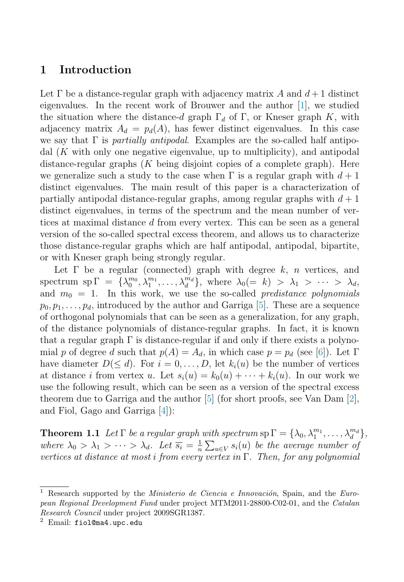## **1 Introduction**

Let  $\Gamma$  be a distance-regular graph with adjacency matrix A and  $d+1$  distinct eigenvalues. In the recent work of Brouwer and the author [\[1\]](#page-5-0), we studied the situation where the distance-d graph  $\Gamma_d$  of  $\Gamma$ , or Kneser graph K, with adjacency matrix  $A_d = p_d(A)$ , has fewer distinct eigenvalues. In this case we say that  $\Gamma$  is partially antipodal. Examples are the so-called half antipodal (K with only one negative eigenvalue, up to multiplicity), and antipodal distance-regular graphs  $(K$  being disjoint copies of a complete graph). Here we generalize such a study to the case when  $\Gamma$  is a regular graph with  $d+1$ distinct eigenvalues. The main result of this paper is a characterization of partially antipodal distance-regular graphs, among regular graphs with  $d+1$ distinct eigenvalues, in terms of the spectrum and the mean number of vertices at maximal distance d from every vertex. This can be seen as a general version of the so-called spectral excess theorem, and allows us to characterize those distance-regular graphs which are half antipodal, antipodal, bipartite, or with Kneser graph being strongly regular.

Let  $\Gamma$  be a regular (connected) graph with degree  $k$ , n vertices, and spectrum sp  $\Gamma = \{\lambda_0^{m_0}, \lambda_1^{m_1}, \ldots, \lambda_d^{m_d}\},\$  where  $\lambda_0 (= k) > \lambda_1 > \cdots > \lambda_d,$ and  $m_0 = 1$ . In this work, we use the so-called *predistance polynomials*  $p_0, p_1, \ldots, p_d$ , introduced by the author and Garriga [\[5\]](#page-6-0). These are a sequence of orthogonal polynomials that can be seen as a generalization, for any graph, of the distance polynomials of distance-regular graphs. In fact, it is known that a regular graph  $\Gamma$  is distance-regular if and only if there exists a polynomial p of degree d such that  $p(A) = A_d$ , in which case  $p = p_d$  (see [\[6\]](#page-6-0)). Let  $\Gamma$ have diameter  $D(\leq d)$ . For  $i = 0, \ldots, D$ , let  $k_i(u)$  be the number of vertices at distance i from vertex u. Let  $s_i(u) = k_0(u) + \cdots + k_i(u)$ . In our work we use the following result, which can be seen as a version of the spectral excess theorem due to Garriga and the author  $[5]$  (for short proofs, see Van Dam  $[2]$ , and Fiol, Gago and Garriga [\[4\]](#page-6-0)):

**Theorem 1.1** Let  $\Gamma$  be a regular graph with spectrum  $sp \Gamma = {\lambda_0, \lambda_1^{m_1}, \ldots, \lambda_d^{m_d}}$ , where  $\lambda_0 > \lambda_1 > \cdots > \lambda_d$ . Let  $\overline{s_i} = \frac{1}{n} \sum_{u \in V} s_i(u)$  be the average number of vertices at distance at most i from every vertex in  $\Gamma$ . Then, for any polynomial

<sup>&</sup>lt;sup>1</sup> Research supported by the *Ministerio de Ciencia e Innovación*, Spain, and the *European Regional Development Fund* under project MTM2011-28800-C02-01, and the *Catalan Research Council* under project 2009SGR1387.

<sup>2</sup> Email: fiol@ma4.upc.edu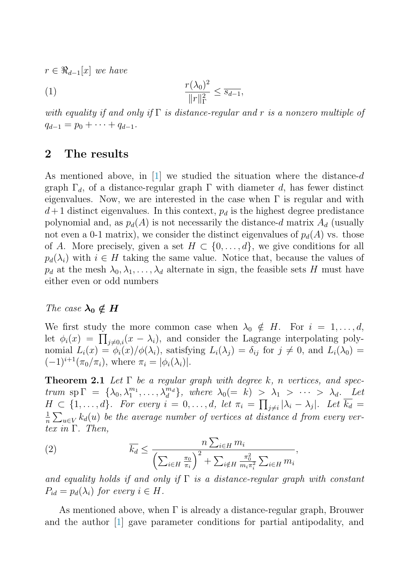<span id="page-2-0"></span> $r \in \Re_{d-1}[x]$  we have

$$
\frac{r(\lambda_0)^2}{\|r\|_{\Gamma}^2} \le \overline{s_{d-1}},
$$

with equality if and only if  $\Gamma$  is distance-regular and r is a nonzero multiple of  $q_{d-1} = p_0 + \cdots + q_{d-1}.$ 

### **2 The results**

As mentioned above, in  $[1]$  we studied the situation where the distance-d graph  $\Gamma_d$ , of a distance-regular graph  $\Gamma$  with diameter d, has fewer distinct eigenvalues. Now, we are interested in the case when  $\Gamma$  is regular and with  $d+1$  distinct eigenvalues. In this context,  $p_d$  is the highest degree predistance polynomial and, as  $p_d(A)$  is not necessarily the distance-d matrix  $A_d$  (usually not even a 0-1 matrix), we consider the distinct eigenvalues of  $p_d(A)$  vs. those of A. More precisely, given a set  $H \subset \{0,\ldots,d\}$ , we give conditions for all  $p_d(\lambda_i)$  with  $i \in H$  taking the same value. Notice that, because the values of  $p_d$  at the mesh  $\lambda_0, \lambda_1, \ldots, \lambda_d$  alternate in sign, the feasible sets H must have either even or odd numbers

#### The case  $\lambda_0 \notin H$

We first study the more common case when  $\lambda_0 \notin H$ . For  $i = 1, \ldots, d$ , let  $\phi_i(x) = \prod_{j \neq 0,i}(x - \lambda_i)$ , and consider the Lagrange interpolating polynomial  $L_i(x) = \phi_i(x)/\phi(\lambda_i)$ , satisfying  $L_i(\lambda_j) = \delta_{ij}$  for  $j \neq 0$ , and  $L_i(\lambda_0) =$  $(-1)^{i+1} (\pi_0/\pi_i)$ , where  $\pi_i = |\phi_i(\lambda_i)|$ .

**Theorem 2.1** Let  $\Gamma$  be a regular graph with degree k, n vertices, and spectrum sp  $\Gamma = {\lambda_0, \lambda_1^{m_1}, \ldots, \lambda_d^{m_d}}$ , where  $\lambda_0 (= k) > \lambda_1 > \cdots > \lambda_d$ . Let  $H \subset \{1,\ldots,d\}$ . For every  $i = 0,\ldots,d$ , let  $\pi_i = \prod_{j \neq i} |\lambda_i - \lambda_j|$ . Let  $\overline{k_d} =$  $\frac{1}{n}\sum_{u\in V}k_d(u)$  be the average number of vertices at distance d from every vertex in  $\Gamma$ . Then,

(2) 
$$
\overline{k_d} \leq \frac{n \sum_{i \in H} m_i}{\left(\sum_{i \in H} \frac{\pi_0}{\pi_i}\right)^2 + \sum_{i \notin H} \frac{\pi_0^2}{m_i \pi_i^2} \sum_{i \in H} m_i},
$$

and equality holds if and only if  $\Gamma$  is a distance-regular graph with constant  $P_{id} = p_d(\lambda_i)$  for every  $i \in H$ .

As mentioned above, when  $\Gamma$  is already a distance-regular graph, Brouwer and the author [\[1\]](#page-5-0) gave parameter conditions for partial antipodality, and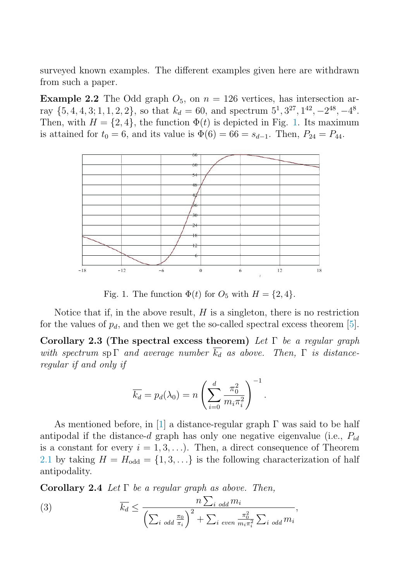surveyed known examples. The different examples given here are withdrawn from such a paper.

**Example 2.2** The Odd graph  $O_5$ , on  $n = 126$  vertices, has intersection array  $\{5, 4, 4, 3; 1, 1, 2, 2\}$ , so that  $k_d = 60$ , and spectrum  $5^1, 3^{27}, 1^{42}, -2^{48}, -4^8$ . Then, with  $H = \{2, 4\}$ , the function  $\Phi(t)$  is depicted in Fig. 1. Its maximum is attained for  $t_0 = 6$ , and its value is  $\Phi(6) = 66 = s_{d-1}$ . Then,  $P_{24} = P_{44}$ .



Fig. 1. The function  $\Phi(t)$  for  $O_5$  with  $H = \{2, 4\}.$ 

Notice that if, in the above result,  $H$  is a singleton, there is no restriction for the values of  $p_d$ , and then we get the so-called spectral excess theorem [\[5\]](#page-6-0).

**Corollary 2.3 (The spectral excess theorem)** Let Γ be a regular graph with spectrum sp  $\Gamma$  and average number  $\overline{k_d}$  as above. Then,  $\Gamma$  is distanceregular if and only if

$$
\overline{k_d} = p_d(\lambda_0) = n \left( \sum_{i=0}^d \frac{\pi_0^2}{m_i \pi_i^2} \right)^{-1}.
$$

As mentioned before, in [\[1\]](#page-5-0) a distance-regular graph  $\Gamma$  was said to be half antipodal if the distance-d graph has only one negative eigenvalue (i.e.,  $P_{id}$ ) is a constant for every  $i = 1, 3, \ldots$ ). Then, a direct consequence of Theorem [2.1](#page-2-0) by taking  $H = H_{odd} = \{1, 3, ...\}$  is the following characterization of half antipodality.

**Corollary 2.4** Let  $\Gamma$  be a regular graph as above. Then,

(3) 
$$
\overline{k_d} \leq \frac{n \sum_{i \text{ odd}} m_i}{\left(\sum_{i \text{ odd}} \frac{\pi_0}{\pi_i}\right)^2 + \sum_{i \text{ even}} \frac{\pi_0^2}{m_i \pi_i^2} \sum_{i \text{ odd}} m_i},
$$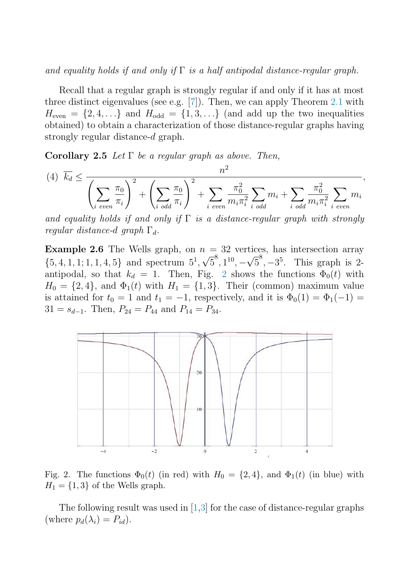and equality holds if and only if  $\Gamma$  is a half antipodal distance-regular graph.

Recall that a regular graph is strongly regular if and only if it has at most three distinct eigenvalues (see e.g. [\[7\]](#page-6-0)). Then, we can apply Theorem [2.1](#page-2-0) with  $H_{\text{even}} = \{2, 4, \ldots\}$  and  $H_{\text{odd}} = \{1, 3, \ldots\}$  (and add up the two inequalities obtained) to obtain a characterization of those distance-regular graphs having strongly regular distance-d graph.

**Corollary 2.5** Let  $\Gamma$  be a regular graph as above. Then,

$$
(4) \quad \overline{k_d} \le \frac{n^2}{\left(\sum_{i \text{ even}} \frac{\pi_0}{\pi_i}\right)^2 + \left(\sum_{i \text{ odd}} \frac{\pi_0}{\pi_i}\right)^2 + \sum_{i \text{ even}} \frac{\pi_0^2}{m_i \pi_i^2} \sum_{i \text{ odd}} m_i + \sum_{i \text{ odd}} \frac{\pi_0^2}{m_i \pi_i^2} \sum_{i \text{ even}} m_i},
$$

and equality holds if and only if  $\Gamma$  is a distance-regular graph with strongly regular distance-d graph  $\Gamma_d$ .

**Example 2.6** The Wells graph, on  $n = 32$  vertices, has intersection array **Example 2.0** The Webs graph, on  $h = 32$  vertices, has intersection array  $\{5, 4, 1, 1, 1, 4, 5\}$  and spectrum  $5^1, \sqrt{5}^8, 1^{10}, -\sqrt{5}^8, -3^5$ . This graph is 2antipodal, so that  $k_d = 1$ . Then, Fig. 2 shows the functions  $\Phi_0(t)$  with  $H_0 = \{2, 4\}$ , and  $\Phi_1(t)$  with  $H_1 = \{1, 3\}$ . Their (common) maximum value is attained for  $t_0 = 1$  and  $t_1 = -1$ , respectively, and it is  $\Phi_0(1) = \Phi_1(-1) =$  $31 = s_{d-1}$ . Then,  $P_{24} = P_{44}$  and  $P_{14} = P_{34}$ .



Fig. 2. The functions  $\Phi_0(t)$  (in red) with  $H_0 = \{2, 4\}$ , and  $\Phi_1(t)$  (in blue) with  $H_1 = \{1, 3\}$  of the Wells graph.

The following result was used in  $(1,3)$  for the case of distance-regular graphs (where  $p_d(\lambda_i) = P_{id}$ ).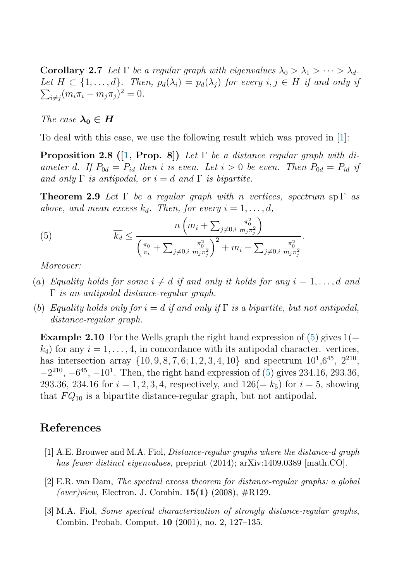<span id="page-5-0"></span>**Corollary 2.7** Let  $\Gamma$  be a regular graph with eigenvalues  $\lambda_0 > \lambda_1 > \cdots > \lambda_d$ .  $\sum_{i \neq j} (m_i \pi_i - m_j \pi_j)^2 = 0.$ Let  $H \subset \{1,\ldots,d\}$ . Then,  $p_d(\lambda_i) = p_d(\lambda_j)$  for every  $i, j \in H$  if and only if

The case  $\lambda_0 \in H$ 

To deal with this case, we use the following result which was proved in [1]:

**Proposition 2.8 ([1, Prop. 8])** Let Γ be a distance regular graph with diameter d. If  $P_{0d} = P_{id}$  then i is even. Let  $i > 0$  be even. Then  $P_{0d} = P_{id}$  if and only  $\Gamma$  is antipodal, or  $i = d$  and  $\Gamma$  is bipartite.

**Theorem 2.9** Let  $\Gamma$  be a regular graph with n vertices, spectrum sp  $\Gamma$  as above, and mean excess  $\overline{k_d}$ . Then, for every  $i = 1, \ldots, d$ ,

(5) 
$$
\overline{k_d} \leq \frac{n \left( m_i + \sum_{j \neq 0, i} \frac{\pi_0^2}{m_j \pi_j^2} \right)}{\left( \frac{\pi_0}{\pi_i} + \sum_{j \neq 0, i} \frac{\pi_0^2}{m_j \pi_j^2} \right)^2 + m_i + \sum_{j \neq 0, i} \frac{\pi_0^2}{m_j \pi_j^2}}.
$$

Moreover:

- (a) Equality holds for some  $i \neq d$  if and only it holds for any  $i = 1, \ldots, d$  and Γ is an antipodal distance-regular graph.
- (b) Equality holds only for  $i = d$  if and only if  $\Gamma$  is a bipartite, but not antipodal, distance-regular graph.

**Example 2.10** For the Wells graph the right hand expression of  $(5)$  gives  $1(=$  $k_4$ ) for any  $i = 1, \ldots, 4$ , in concordance with its antipodal character. vertices, has intersection array  $\{10, 9, 8, 7, 6; 1, 2, 3, 4, 10\}$  and spectrum  $10^1,6^{45}, 2^{210}$ ,  $-2^{210}$ ,  $-6^{45}$ ,  $-10^{1}$ . Then, the right hand expression of (5) gives 234.16, 293.36, 293.36, 234.16 for  $i = 1, 2, 3, 4$ , respectively, and  $126 (= k_5)$  for  $i = 5$ , showing that  $FQ_{10}$  is a bipartite distance-regular graph, but not antipodal.

## **References**

- [1] A.E. Brouwer and M.A. Fiol, *Distance-regular graphs where the distance-*d *graph has fewer distinct eigenvalues*, preprint (2014); arXiv:1409.0389 [math.CO].
- [2] E.R. van Dam, *The spectral excess theorem for distance-regular graphs: a global (over)view*, Electron. J. Combin. **15(1)** (2008), #R129.
- [3] M.A. Fiol, *Some spectral characterization of strongly distance-regular graphs*, Combin. Probab. Comput. **10** (2001), no. 2, 127–135.